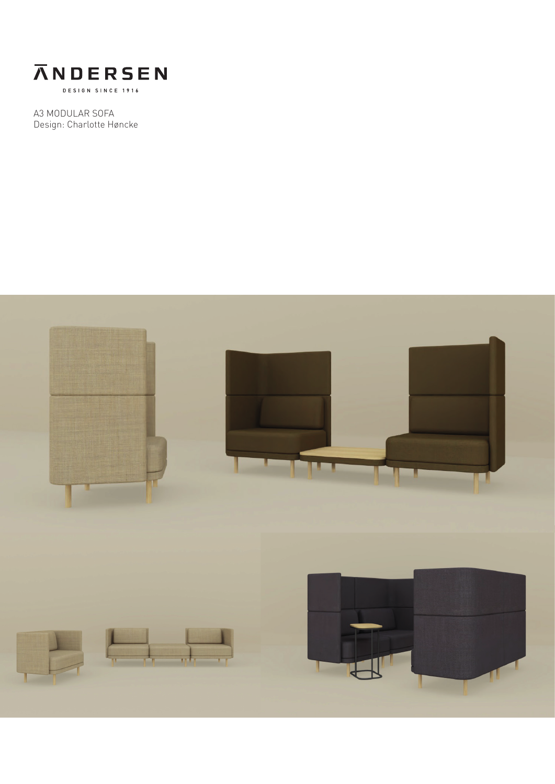

A3 MODULAR SOFA Design: Charlotte Høncke

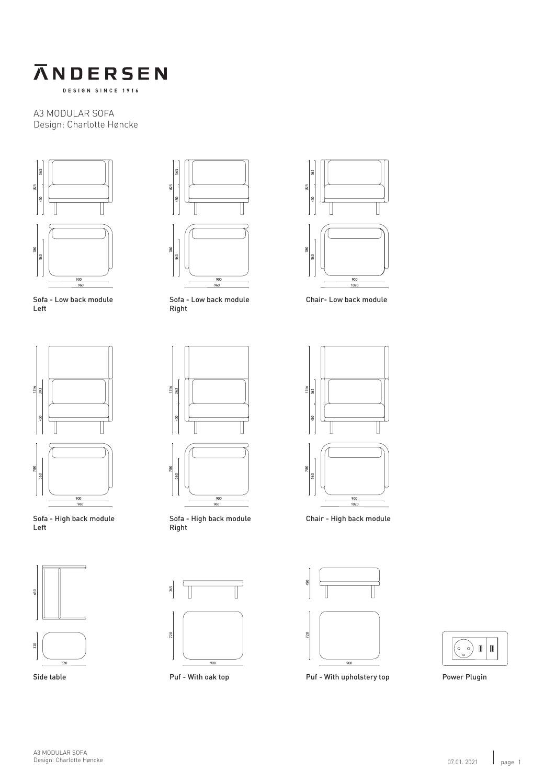

A3 MODULAR SOFA Design: Charlotte Høncke



Sofa - Low back module Left



Sofa - High back module Left





Sofa - Low back module Right



Sofa - High back module Right



Side table **Puf** - With oak top



Chair- Low back module



Chair - High back module



 $\begin{pmatrix} 0 & 0 \ 0 & 0 & 0 \end{pmatrix}$  $\blacksquare$  $\begin{array}{c} \hline \end{array}$ 

Power Plugin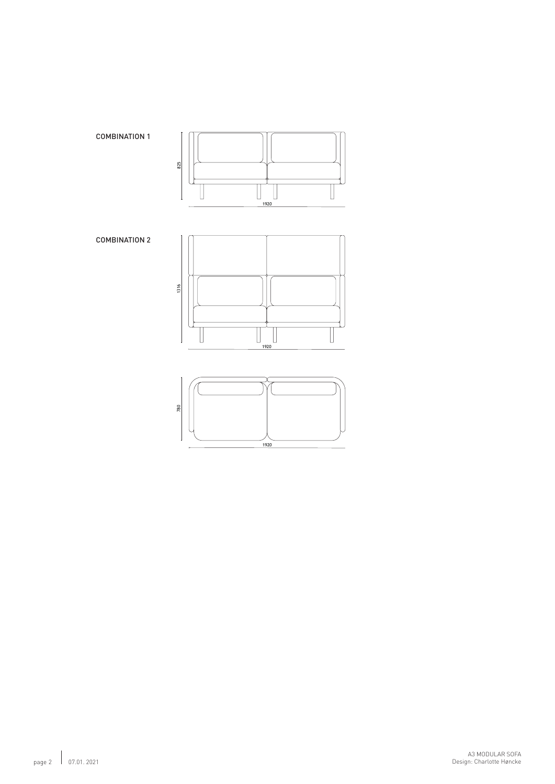

.<br>1920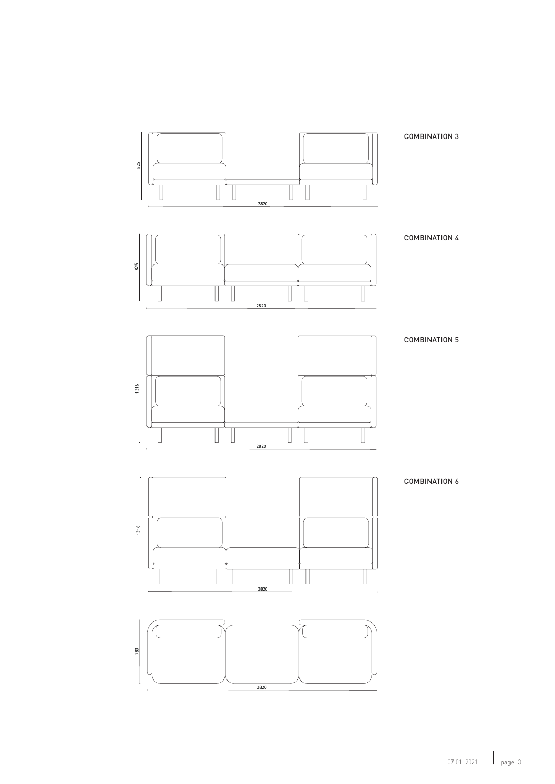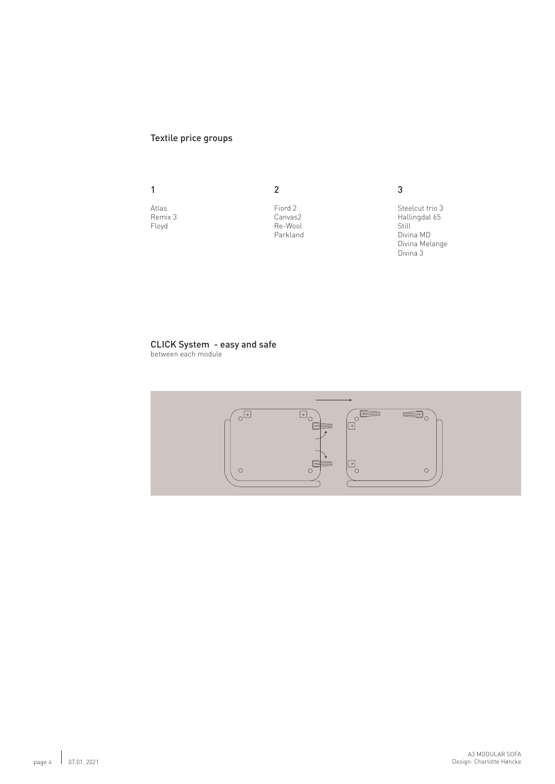## Textile price groups

1

Atlas Remix 3 Floyd

Fiord 2 Canvas2 Re-Wool Parkland

2

3

Steelcut trio 3 Hallingdal 65 **Still** Divina MD Divina Melange Divina 3

## CLICK System - easy and safe

between each module